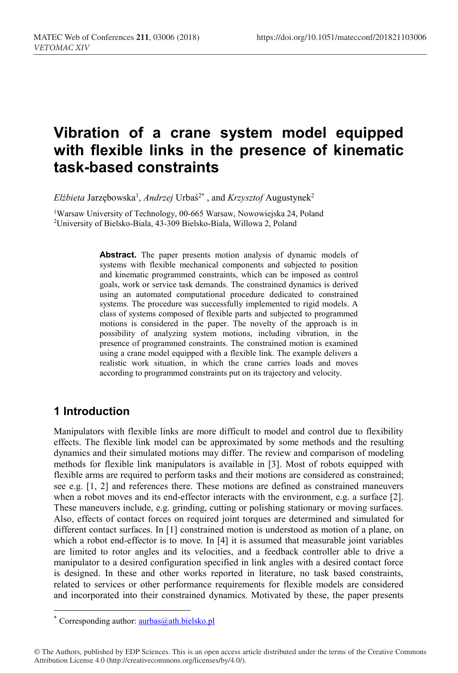# **Vibration of a crane system model equipped with flexible links in the presence of kinematic task-based constraints**

 $Elżbieta Jarzębowska<sup>1</sup>, *Andrzej Urbaś<sup>2*</sup>* , and *Krzysztof* Augustynek<sup>2</sup>$ 

1Warsaw University of Technology, 00-665 Warsaw, Nowowiejska 24, Poland 2University of Bielsko-Biala, 43-309 Bielsko-Biala, Willowa 2, Poland

**Abstract.** The paper presents motion analysis of dynamic models of systems with flexible mechanical components and subjected to position and kinematic programmed constraints, which can be imposed as control goals, work or service task demands. The constrained dynamics is derived using an automated computational procedure dedicated to constrained systems. The procedure was successfully implemented to rigid models. A class of systems composed of flexible parts and subjected to programmed motions is considered in the paper. The novelty of the approach is in possibility of analyzing system motions, including vibration, in the presence of programmed constraints. The constrained motion is examined using a crane model equipped with a flexible link. The example delivers a realistic work situation, in which the crane carries loads and moves according to programmed constraints put on its trajectory and velocity.

## **1 Introduction**

 $\overline{a}$ 

Manipulators with flexible links are more difficult to model and control due to flexibility effects. The flexible link model can be approximated by some methods and the resulting dynamics and their simulated motions may differ. The review and comparison of modeling methods for flexible link manipulators is available in [3]. Most of robots equipped with flexible arms are required to perform tasks and their motions are considered as constrained; see e.g.  $[1, 2]$  and references there. These motions are defined as constrained maneuvers when a robot moves and its end-effector interacts with the environment, e.g. a surface [2]. These maneuvers include, e.g. grinding, cutting or polishing stationary or moving surfaces. Also, effects of contact forces on required joint torques are determined and simulated for different contact surfaces. In [1] constrained motion is understood as motion of a plane, on which a robot end-effector is to move. In [4] it is assumed that measurable joint variables are limited to rotor angles and its velocities, and a feedback controller able to drive a manipulator to a desired configuration specified in link angles with a desired contact force is designed. In these and other works reported in literature, no task based constraints, related to services or other performance requirements for flexible models are considered and incorporated into their constrained dynamics. Motivated by these, the paper presents

<sup>\*</sup> Corresponding author: aurbas@ath.bielsko.pl

<sup>©</sup> The Authors, published by EDP Sciences. This is an open access article distributed under the terms of the Creative Commons Attribution License 4.0 (http://creativecommons.org/licenses/by/4.0/).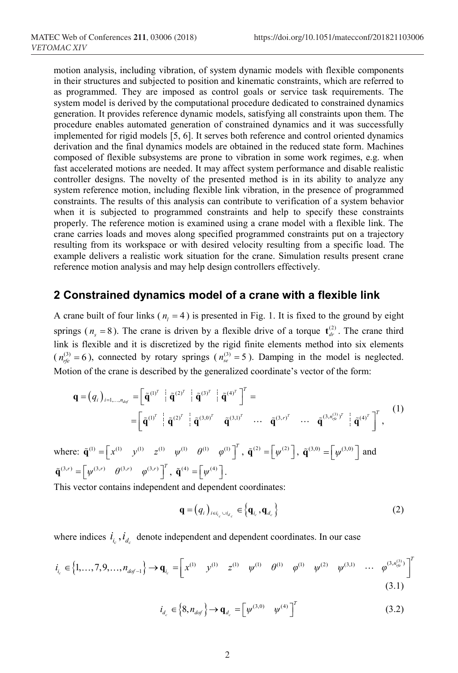motion analysis, including vibration, of system dynamic models with flexible components in their structures and subjected to position and kinematic constraints, which are referred to as programmed. They are imposed as control goals or service task requirements. The system model is derived by the computational procedure dedicated to constrained dynamics generation. It provides reference dynamic models, satisfying all constraints upon them. The procedure enables automated generation of constrained dynamics and it was successfully implemented for rigid models [5, 6]. It serves both reference and control oriented dynamics derivation and the final dynamics models are obtained in the reduced state form. Machines composed of flexible subsystems are prone to vibration in some work regimes, e.g. when fast accelerated motions are needed. It may affect system performance and disable realistic controller designs. The novelty of the presented method is in its ability to analyze any system reference motion, including flexible link vibration, in the presence of programmed constraints. The results of this analysis can contribute to verification of a system behavior when it is subjected to programmed constraints and help to specify these constraints properly. The reference motion is examined using a crane model with a flexible link. The crane carries loads and moves along specified programmed constraints put on a trajectory resulting from its workspace or with desired velocity resulting from a specific load. The example delivers a realistic work situation for the crane. Simulation results present crane reference motion analysis and may help design controllers effectively.

#### **2 Constrained dynamics model of a crane with a flexible link**

A crane built of four links ( $n_1 = 4$ ) is presented in Fig. 1. It is fixed to the ground by eight springs ( $n_s = 8$ ). The crane is driven by a flexible drive of a torque  $t_{dr}^{(2)}$ . The crane third link is flexible and it is discretized by the rigid finite elements method into six elements  $(n_{rfe}^{(3)} = 6)$ , connected by rotary springs  $(n_{se}^{(3)} = 5)$ . Damping in the model is neglected. Motion of the crane is described by the generalized coordinate's vector of the form:

$$
\mathbf{q} = (q_i)_{i=1,\dots,n_{dof}} = \left[ \tilde{\mathbf{q}}^{(1)^T} \mid \tilde{\mathbf{q}}^{(2)^T} \mid \tilde{\mathbf{q}}^{(3)^T} \mid \tilde{\mathbf{q}}^{(4)^T} \right]^T =
$$
\n
$$
= \left[ \tilde{\mathbf{q}}^{(1)^T} \mid \tilde{\mathbf{q}}^{(2)^T} \mid \tilde{\mathbf{q}}^{(3,0)^T} \quad \tilde{\mathbf{q}}^{(3,1)^T} \quad \cdots \quad \tilde{\mathbf{q}}^{(3,r)^T} \quad \cdots \quad \tilde{\mathbf{q}}^{(3,n_{ge}^{(3)})^T} \mid \tilde{\mathbf{q}}^{(4)^T} \right]^T,
$$
\n(1)

where:  $\tilde{\mathbf{q}}^{(1)} = \begin{bmatrix} x^{(1)} & y^{(1)} & z^{(1)} & \psi^{(1)} & \theta^{(1)} & \theta^{(1)} \end{bmatrix}^T$ ,  $\tilde{\mathbf{q}}^{(2)} = \begin{bmatrix} \psi^{(2)} \end{bmatrix}$ ,  $\tilde{\mathbf{q}}^{(3,0)} = \begin{bmatrix} \psi^{(3,0)} \end{bmatrix}$  and  $\tilde{\mathbf{q}}^{(3,r)} = \begin{bmatrix} \psi^{(3,r)} & \theta^{(3,r)} & \varphi^{(3,r)} \end{bmatrix}^T$ ,  $\tilde{\mathbf{q}}^{(4)} = \begin{bmatrix} \psi^{(4)} \end{bmatrix}$ .

This vector contains independent and dependent coordinates:

$$
\mathbf{q} = (q_i)_{i \in i_c \cup i_{d_c}} \in \left\{ \mathbf{q}_{i_c}, \mathbf{q}_{d_c} \right\}
$$
 (2)

where indices  $i_{i_c}$ ,  $i_{d_c}$  denote independent and dependent coordinates. In our case

$$
i_{i_c} \in \left\{1, \ldots, 7, 9, \ldots, n_{dof-1}\right\} \to \mathbf{q}_{i_c} = \begin{bmatrix} x^{(1)} & y^{(1)} & z^{(1)} & \psi^{(1)} & \theta^{(1)} & \psi^{(2)} & \psi^{(3,1)} & \cdots & \varphi^{(3,n_{ge}^{(3)})} \end{bmatrix}^T
$$
\n(3.1)

$$
i_{d_c} \in \left\{ 8, n_{dof} \right\} \to \mathbf{q}_{d_c} = \left[ \psi^{(3,0)} \quad \psi^{(4)} \right]^T \tag{3.2}
$$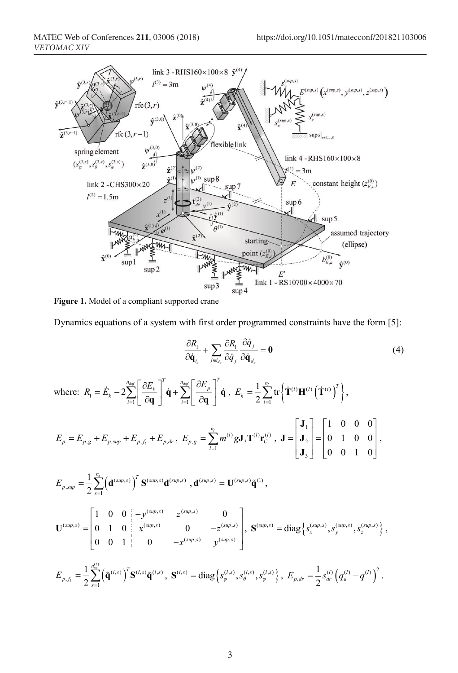

**Figure 1.** Model of a compliant supported crane

Dynamics equations of a system with first order programmed constraints have the form [5]:

$$
\frac{\partial R_1}{\partial \dot{\mathbf{q}}_{i_c}} + \sum_{j \in i_{d_c}} \frac{\partial R_1}{\partial \dot{q}_j} \frac{\partial \dot{q}_j}{\partial \dot{\mathbf{q}}_{d_c}} = \mathbf{0}
$$
(4)

where:  $R_1 = E_k - 2 \sum_{i=1}^{\infty} \left[ \frac{\partial E_k}{\partial \mathbf{q}} \right] \dot{\mathbf{q}} + \sum_{i=1}^{\infty}$ 2  $\dot{Z}_k - 2\displaystyle{\sum_{i=1}^{n_{dof}}}\Bigg[\frac{\partial E_k}{\partial \mathbf{q}}\Bigg]^T\dot{\mathbf{q}} + \displaystyle{\sum_{i=1}^{n_{dof}}}\Bigg[\frac{\partial E_p}{\partial \mathbf{q}}\Bigg]^T$  $R_1 = E_k - 2\sum_{k=1}^{n_{dof}} \left| \frac{\partial E_k}{\partial \theta_k} \right|^{k} \dot{\mathbf{q}} + \sum_{k=1}^{n_{dof}} \left| \frac{\partial E_k}{\partial \theta_k} \right|^{k}$  $\dot{E}_k - 2 \overset{n_{dof}}{\underset{i=1}{\sum}} \Bigg[ \frac{\partial E_k}{\partial \mathbf{q}} \Bigg]^{\prime} \dot{\mathbf{q}} + \overset{n_{dof}}{\underset{i=1}{\sum}} \Bigg[ \frac{\partial E_p}{\partial \mathbf{q}} \Bigg]^{\prime} \dot{\mathbf{q}} \text{ , } E_k = \frac{1}{2} \overset{n_{h}}{\underset{i=1}{\sum}} \text{tr} \Big\{ \dot{\mathbf{T}}^{(l)} \mathbf{H}^{(l)} \Big( \dot{\mathbf{T}}^{(l)} \Big)^{\mathit{T}} \Big\}$  $\frac{1}{2}\sum_{l=1}^{n_l}$ tr  $\mathbf{H}_{k} = \frac{1}{2} \sum_{l=1}^{n_l} \text{tr} \left\{ \dot{\mathbf{T}}^{(l)} \mathbf{H}^{(l)} \left( \dot{\mathbf{T}}^{(l)} \right)^{T} \right\}$ *E*  $=\frac{1}{2}\sum_{l=1}^{N} \text{tr}\left\{\mathbf{\dot{T}}^{(l)}\mathbf{H}^{(l)}\left(\mathbf{\dot{T}}^{(l)}\right)^{l}\right\},$ 

$$
E_p = E_{p,g} + E_{p, \text{sup}} + E_{p,f_i} + E_{p,dr}, \ E_{p,g} = \sum_{l=1}^{n_l} m^{(l)} g \mathbf{J}_3 \mathbf{T}^{(l)} \mathbf{r}_C^{(l)}, \ \mathbf{J} = \begin{bmatrix} \mathbf{J}_1 \\ \mathbf{J}_2 \\ \mathbf{J}_3 \end{bmatrix} = \begin{bmatrix} 1 & 0 & 0 & 0 \\ 0 & 1 & 0 & 0 \\ 0 & 0 & 1 & 0 \end{bmatrix},
$$

$$
E_{p, sup} = \frac{1}{2} \sum_{s=1}^{n_s} \left( \mathbf{d}^{(sup,s)} \right)^T \mathbf{S}^{(sup,s)} \mathbf{d}^{(sup,s)}, \mathbf{d}^{(sup,s)} = \mathbf{U}^{(sup,s)} \widetilde{\mathbf{q}}^{(1)},
$$
  

$$
\mathbf{U}^{(sup,s)} = \begin{bmatrix} 1 & 0 & 0 & -y^{(sup,s)} & z^{(sup,s)} & 0 \\ 0 & 1 & 0 & x^{(sup,s)} & 0 & -z^{(sup,s)} \\ 0 & 0 & 1 & 0 & -x^{(sup,s)} & y^{(sup,s)} \end{bmatrix}, \mathbf{S}^{(sup,s)} = \text{diag} \left\{ s_x^{(sup,s)}, s_y^{(sup,s)}, s_z^{(sup,s)} \right\},
$$

$$
E_{p,f_i} = \frac{1}{2} \sum_{s=1}^{n_{\text{sc}}^{(l)}} \left( \tilde{\mathbf{q}}^{(l,s)} \right)^T \mathbf{S}^{(l,s)} \tilde{\mathbf{q}}^{(l,s)}, \ \mathbf{S}^{(l,s)} = \text{diag} \left\{ s_{\psi}^{(l,s)}, s_{\theta}^{(l,s)}, s_{\varphi}^{(l,s)} \right\}, \ E_{p,dr} = \frac{1}{2} s_{dr}^{(l)} \left( q_a^{(l)} - q^{(l)} \right)^2.
$$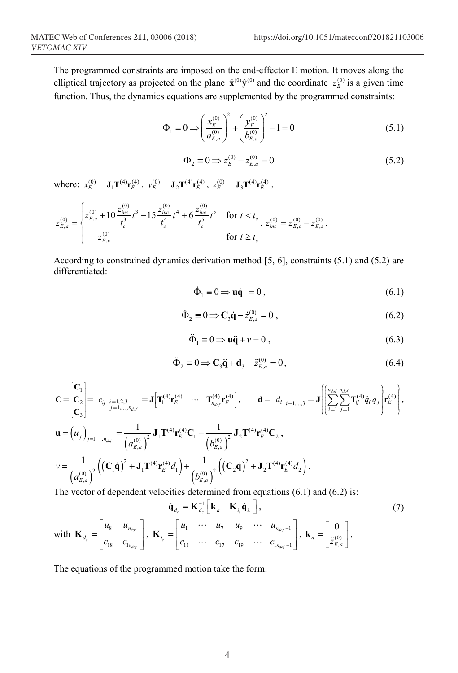The programmed constraints are imposed on the end-effector E motion. It moves along the elliptical trajectory as projected on the plane  $\hat{\mathbf{x}}^{(0)} \hat{\mathbf{y}}^{(0)}$  and the coordinate  $z_E^{(0)}$  is a given time function. Thus, the dynamics equations are supplemented by the programmed constraints:

$$
\Phi_1 \equiv 0 \Longrightarrow \left(\frac{x_E^{(0)}}{a_{E,a}^{(0)}}\right)^2 + \left(\frac{y_E^{(0)}}{b_{E,a}^{(0)}}\right)^2 - 1 = 0 \tag{5.1}
$$

$$
\Phi_2 = 0 \Longrightarrow z_E^{(0)} - z_{E,a}^{(0)} = 0 \tag{5.2}
$$

where:  $x_E^{(0)} = J_1 T^{(4)} r_E^{(4)}$ ,  $y_E^{(0)} = J_2 T^{(4)} r_E^{(4)}$ ,  $z_E^{(0)} = J_3 T^{(4)} r_E^{(4)}$ ,

$$
z_{E,a}^{(0)} = \begin{cases} z_{E,s}^{(0)} + 10 \frac{z_{inc}^{(0)}}{t_c^3} t^3 - 15 \frac{z_{inc}^{(0)}}{t_c^4} t^4 + 6 \frac{z_{inc}^{(0)}}{t_c^5} t^5 & \text{for } t < t_c \\ z_{E,c}^{(0)} & \text{for } t \ge t_c \end{cases}, z_{inc}^{(0)} = z_{E,c}^{(0)} - z_{E,s}^{(0)}.
$$

 $\overline{a}$ 

According to constrained dynamics derivation method [5, 6], constraints (5.1) and (5.2) are differentiated:

$$
\dot{\Phi}_1 \equiv 0 \Longrightarrow \mathbf{u}\dot{\mathbf{q}} = 0, \tag{6.1}
$$

$$
\dot{\Phi}_2 \equiv 0 \Longrightarrow \mathbf{C}_3 \dot{\mathbf{q}} - \dot{z}_{E,a}^{(0)} = 0 , \qquad (6.2)
$$

$$
\ddot{\Phi}_1 \equiv 0 \Longrightarrow \mathbf{u}\ddot{\mathbf{q}} + \nu = 0 , \qquad (6.3)
$$

$$
\ddot{\Phi}_2 \equiv 0 \Longrightarrow \mathbf{C}_3 \ddot{\mathbf{q}} + \mathbf{d}_3 - \ddot{z}_{E,a}^{(0)} = 0, \tag{6.4}
$$

$$
\mathbf{C} = \begin{bmatrix} \mathbf{C}_{1} \\ \mathbf{C}_{2} \\ \mathbf{C}_{3} \end{bmatrix} = c_{ij} \bigg|_{i=1,2,3} = \mathbf{J} \Big[ \mathbf{T}_{1}^{(4)} \mathbf{r}_{E}^{(4)} \cdots \mathbf{T}_{n_{dof}}^{(4)} \mathbf{r}_{E}^{(4)} \Big], \qquad \mathbf{d} = d_{i} \bigg|_{i=1,...,3} = \mathbf{J} \Big[ \Big( \sum_{i=1}^{n_{dof}} \sum_{j=1}^{n_{dof}} \mathbf{T}_{ij}^{(4)} \dot{q}_{i} \dot{q}_{j} \Big) \mathbf{r}_{E}^{(4)} \Big],
$$
\n
$$
\mathbf{u} = (u_{j})_{j=1,...,n_{dof}} = \frac{1}{(a_{E,a}^{(0)})^{2}} \mathbf{J}_{1} \mathbf{T}^{(4)} \mathbf{r}_{E}^{(4)} \mathbf{C}_{1} + \frac{1}{(b_{E,a}^{(0)})^{2}} \mathbf{J}_{2} \mathbf{T}^{(4)} \mathbf{r}_{E}^{(4)} \mathbf{C}_{2},
$$
\n
$$
v = \frac{1}{(a_{E,a}^{(0)})^{2}} \Big( (\mathbf{C}_{1} \dot{\mathbf{q}})^{2} + \mathbf{J}_{1} \mathbf{T}^{(4)} \mathbf{r}_{E}^{(4)} d_{1} \Big) + \frac{1}{(b_{E,a}^{(0)})^{2}} \Big( (\mathbf{C}_{2} \dot{\mathbf{q}})^{2} + \mathbf{J}_{2} \mathbf{T}^{(4)} \mathbf{r}_{E}^{(4)} d_{2} \Big).
$$

The vector of dependent velocities determined from equations (6.1) and (6.2) is:

$$
\dot{\mathbf{q}}_{d_c} = \mathbf{K}_{d_c}^{-1} \begin{bmatrix} \mathbf{k}_a - \mathbf{K}_{l_c} \dot{\mathbf{q}}_{l_c} \end{bmatrix},
$$
\n
$$
\text{with } \mathbf{K}_{d_c} = \begin{bmatrix} u_8 & u_{n_{dof}} \\ c_{18} & c_{1_{n_{dof}}} \end{bmatrix}, \ \mathbf{K}_{i_c} = \begin{bmatrix} u_1 & \cdots & u_7 & u_9 & \cdots & u_{n_{dof}-1} \\ c_{11} & \cdots & c_{17} & c_{19} & \cdots & c_{1_{n_{dof}-1}} \end{bmatrix}, \ \mathbf{k}_a = \begin{bmatrix} 0 \\ \tilde{z}_{k,a}^{(0)} \end{bmatrix}.
$$
\n
$$
(7)
$$

The equations of the programmed motion take the form: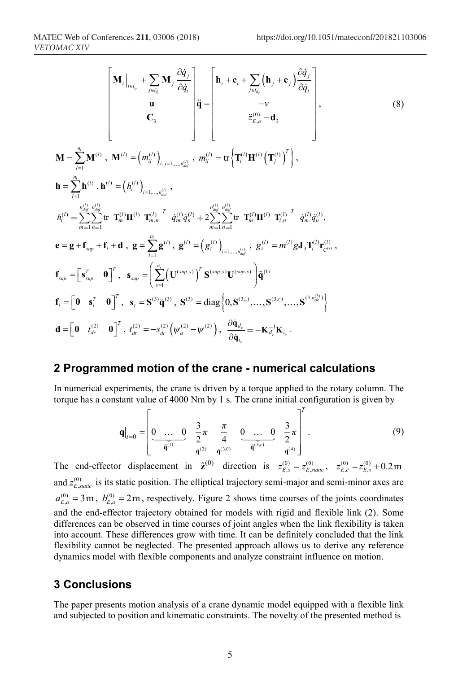$$
\mathbf{M} = \sum_{l=1}^{n_{l}} \mathbf{M}^{(l)} \Big|_{\epsilon = i_{c}} + \sum_{j \in i_{d_{c}}} \mathbf{M}_{j} \frac{\partial \dot{q}_{j}}{\partial \dot{q}_{i}} \Bigg|_{\mathbf{\dot{q}}} = \begin{bmatrix} \mathbf{h}_{i} + \mathbf{e}_{i} + \sum_{j \in i_{d_{c}}} (\mathbf{h}_{j} + \mathbf{e}_{j}) \frac{\partial \dot{q}_{j}}{\partial \dot{q}_{i}} \\ \mathbf{u} \\ \mathbf{C}_{3} \end{bmatrix};
$$
\n
$$
\mathbf{M} = \sum_{l=1}^{n_{l}} \mathbf{M}^{(l)} \ , \ \mathbf{M}^{(l)} = (m_{ij}^{(l)})_{i,j=1,...,n_{adj}^{(l)}} \ , \ m_{ij}^{(l)} = \text{tr} \Big\{ \mathbf{T}_{i}^{(l)} \mathbf{H}^{(l)} \left( \mathbf{T}_{j}^{(l)} \right)^{T} \Big\},
$$
\n
$$
\mathbf{h} = \sum_{l=1}^{n_{l}} \mathbf{h}^{(l)} \ , \ \mathbf{h}^{(l)} = (h_{i}^{(l)})_{i=1,...,n_{adj}^{(l)}} \ ,
$$
\n
$$
h_{i}^{(l)} = \sum_{m=1}^{n_{adj}} \sum_{n=1}^{n_{d}} \text{tr} \ \mathbf{T}_{m}^{(l)} \mathbf{H}^{(l)} \ \mathbf{T}_{m,n}^{(l)} \ \dot{q}_{m}^{(l)} \dot{q}_{n}^{(l)} + 2 \sum_{m=1}^{n_{adj}} \sum_{n=1}^{n_{adj}} \text{tr} \ \mathbf{T}_{m}^{(l)} \mathbf{H}^{(l)} \ \mathbf{T}_{i,n}^{(l)} \ \dot{q}_{m}^{(l)} \dot{q}_{n}^{(l)},
$$
\n
$$
\mathbf{e} = \mathbf{g} + \mathbf{f}_{sup} + \mathbf{f}_{i} + \mathbf{d} \ , \ \mathbf{g} = \sum_{l=1}^{n_{l}} \mathbf{g}^{(l)} \ , \ \mathbf{g}^{(l)} = \left( \mathbf{g}_{i}^{(l)} \right)_{i=1,...,n_{ig}^{(l)}} \ , \ \mathbf{g}_{i}^{(l)} = m^{(l)} \mathbf{g} \mathbf
$$

### **2 Programmed motion of the crane - numerical calculations**

In numerical experiments, the crane is driven by a torque applied to the rotary column. The torque has a constant value of 4000 Nm by 1 s. The crane initial configuration is given by

$$
\mathbf{q}|_{t=0} = \begin{bmatrix} 0 & \dots & 0 & \frac{3}{2}\pi & \frac{\pi}{4} & 0 & \dots & 0 & \frac{3}{2}\pi \\ \frac{\pi}{\mathbf{q}^{(1)}} & \frac{3}{\mathbf{q}^{(2)}} & \frac{\pi}{\mathbf{q}^{(3,0)}} & \frac{\pi}{\mathbf{q}^{(3,r)}} & \frac{\pi}{\mathbf{q}^{(4)}} \end{bmatrix} .
$$
 (9)

 $\neg T$ 

The end-effector displacement in  $\hat{\mathbf{z}}^{(0)}$  direction is  $z_{E,s}^{(0)} = z_{E,static}^{(0)}$ ,  $z_{E,c}^{(0)} = z_{E,s}^{(0)} + 0.2 \text{ m}$ and  $z_{E, static}^{(0)}$  is its static position. The elliptical trajectory semi-major and semi-minor axes are  $a_{E,a}^{(0)} = 3$  m,  $b_{E,a}^{(0)} = 2$  m, respectively. Figure 2 shows time courses of the joints coordinates and the end-effector trajectory obtained for models with rigid and flexible link (2). Some differences can be observed in time courses of joint angles when the link flexibility is taken into account. These differences grow with time. It can be definitely concluded that the link flexibility cannot be neglected. The presented approach allows us to derive any reference dynamics model with flexible components and analyze constraint influence on motion.

### **3 Conclusions**

The paper presents motion analysis of a crane dynamic model equipped with a flexible link and subjected to position and kinematic constraints. The novelty of the presented method is